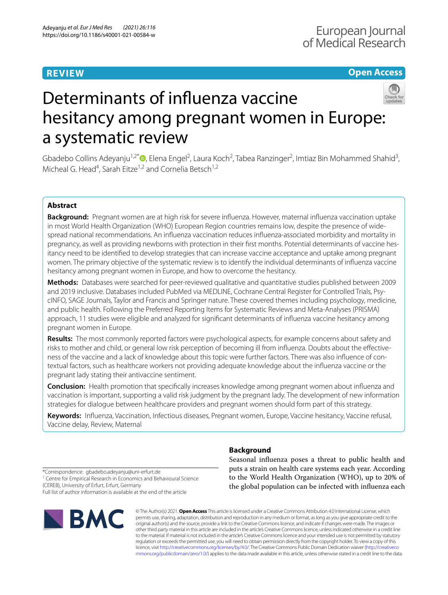# **REVIEW**

# **Open Access**



# Determinants of infuenza vaccine hesitancy among pregnant women in Europe: a systematic review

Gbadebo Collins Adeyanju<sup>1,2\*</sup> (D[,](http://orcid.org/0000-0002-5398-0183) Elena Engel<sup>2</sup>, Laura Koch<sup>2</sup>, Tabea Ranzinger<sup>2</sup>, Imtiaz Bin Mohammed Shahid<sup>3</sup>, Micheal G. Head<sup>4</sup>, Sarah Eitze<sup>1,2</sup> and Cornelia Betsch<sup>1,2</sup>

# **Abstract**

**Background:** Pregnant women are at high risk for severe infuenza. However, maternal infuenza vaccination uptake in most World Health Organization (WHO) European Region countries remains low, despite the presence of widespread national recommendations. An infuenza vaccination reduces infuenza-associated morbidity and mortality in pregnancy, as well as providing newborns with protection in their frst months. Potential determinants of vaccine hesitancy need to be identifed to develop strategies that can increase vaccine acceptance and uptake among pregnant women. The primary objective of the systematic review is to identify the individual determinants of infuenza vaccine hesitancy among pregnant women in Europe, and how to overcome the hesitancy.

**Methods:** Databases were searched for peer-reviewed qualitative and quantitative studies published between 2009 and 2019 inclusive. Databases included PubMed via MEDLINE, Cochrane Central Register for Controlled Trials, PsycINFO, SAGE Journals, Taylor and Francis and Springer nature. These covered themes including psychology, medicine, and public health. Following the Preferred Reporting Items for Systematic Reviews and Meta-Analyses (PRISMA) approach, 11 studies were eligible and analyzed for signifcant determinants of infuenza vaccine hesitancy among pregnant women in Europe.

**Results:** The most commonly reported factors were psychological aspects, for example concerns about safety and risks to mother and child, or general low risk perception of becoming ill from infuenza. Doubts about the efectiveness of the vaccine and a lack of knowledge about this topic were further factors. There was also infuence of contextual factors, such as healthcare workers not providing adequate knowledge about the infuenza vaccine or the pregnant lady stating their antivaccine sentiment.

**Conclusion:** Health promotion that specifcally increases knowledge among pregnant women about infuenza and vaccination is important, supporting a valid risk judgment by the pregnant lady. The development of new information strategies for dialogue between healthcare providers and pregnant women should form part of this strategy.

**Keywords:** Infuenza, Vaccination, Infectious diseases, Pregnant women, Europe, Vaccine hesitancy, Vaccine refusal, Vaccine delay, Review, Maternal

# **Background**

Seasonal infuenza poses a threat to public health and puts a strain on health care systems each year. According to the World Health Organization (WHO), up to 20% of the global population can be infected with infuenza each

\*Correspondence: gbadebo.adeyanju@uni-erfurt.de <sup>1</sup> Centre for Empirical Research in Economics and Behavioural Science

(CEREB), University of Erfurt, Erfurt, Germany Full list of author information is available at the end of the article



© The Author(s) 2021. **Open Access** This article is licensed under a Creative Commons Attribution 4.0 International License, which permits use, sharing, adaptation, distribution and reproduction in any medium or format, as long as you give appropriate credit to the original author(s) and the source, provide a link to the Creative Commons licence, and indicate if changes were made. The images or other third party material in this article are included in the article's Creative Commons licence, unless indicated otherwise in a credit line to the material. If material is not included in the article's Creative Commons licence and your intended use is not permitted by statutory regulation or exceeds the permitted use, you will need to obtain permission directly from the copyright holder. To view a copy of this licence, visit [http://creativecommons.org/licenses/by/4.0/.](http://creativecommons.org/licenses/by/4.0/) The Creative Commons Public Domain Dedication waiver ([http://creativeco](http://creativecommons.org/publicdomain/zero/1.0/) [mmons.org/publicdomain/zero/1.0/](http://creativecommons.org/publicdomain/zero/1.0/)) applies to the data made available in this article, unless otherwise stated in a credit line to the data.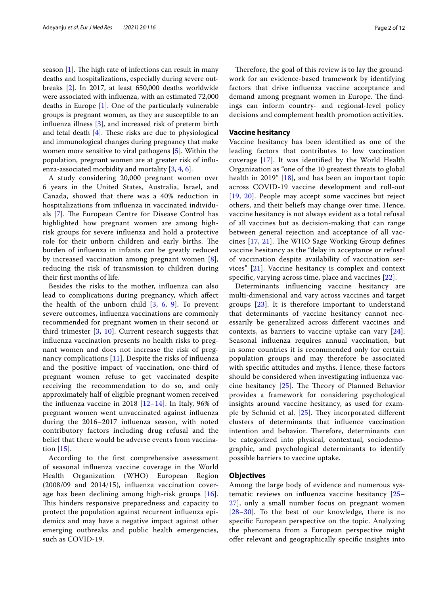season  $[1]$ . The high rate of infections can result in many deaths and hospitalizations, especially during severe outbreaks [\[2\]](#page-10-1). In 2017, at least 650,000 deaths worldwide were associated with infuenza, with an estimated 72,000 deaths in Europe [\[1](#page-10-0)]. One of the particularly vulnerable groups is pregnant women, as they are susceptible to an infuenza illness [\[3](#page-10-2)], and increased risk of preterm birth and fetal death  $[4]$  $[4]$ . These risks are due to physiological and immunological changes during pregnancy that make women more sensitive to viral pathogens [\[5](#page-10-4)]. Within the population, pregnant women are at greater risk of infuenza-associated morbidity and mortality [\[3](#page-10-2), [4,](#page-10-3) [6](#page-10-5)].

A study considering 20,000 pregnant women over 6 years in the United States, Australia, Israel, and Canada, showed that there was a 40% reduction in hospitalizations from infuenza in vaccinated individu-als [\[7](#page-10-6)]. The European Centre for Disease Control has highlighted how pregnant women are among highrisk groups for severe infuenza and hold a protective role for their unborn children and early births. The burden of infuenza in infants can be greatly reduced by increased vaccination among pregnant women [[8\]](#page-10-7), reducing the risk of transmission to children during their frst months of life.

Besides the risks to the mother, infuenza can also lead to complications during pregnancy, which afect the health of the unborn child [[3,](#page-10-2) [6,](#page-10-5) [9](#page-10-8)]. To prevent severe outcomes, infuenza vaccinations are commonly recommended for pregnant women in their second or third trimester [\[3](#page-10-2), [10\]](#page-10-9). Current research suggests that infuenza vaccination presents no health risks to pregnant women and does not increase the risk of pregnancy complications [[11\]](#page-10-10). Despite the risks of infuenza and the positive impact of vaccination, one-third of pregnant women refuse to get vaccinated despite receiving the recommendation to do so, and only approximately half of eligible pregnant women received the influenza vaccine in 2018  $[12-14]$  $[12-14]$  $[12-14]$ . In Italy, 96% of pregnant women went unvaccinated against infuenza during the 2016–2017 infuenza season, with noted contributory factors including drug refusal and the belief that there would be adverse events from vaccination [[15\]](#page-10-13).

According to the frst comprehensive assessment of seasonal infuenza vaccine coverage in the World Health Organization (WHO) European Region (2008/09 and 2014/15), infuenza vaccination coverage has been declining among high-risk groups [[16\]](#page-10-14). This hinders responsive preparedness and capacity to protect the population against recurrent infuenza epidemics and may have a negative impact against other emerging outbreaks and public health emergencies, such as COVID-19.

Therefore, the goal of this review is to lay the groundwork for an evidence-based framework by identifying factors that drive infuenza vaccine acceptance and demand among pregnant women in Europe. The findings can inform country- and regional-level policy decisions and complement health promotion activities.

#### **Vaccine hesitancy**

Vaccine hesitancy has been identifed as one of the leading factors that contributes to low vaccination coverage [[17\]](#page-10-15). It was identifed by the World Health Organization as "one of the 10 greatest threats to global health in 2019" [\[18](#page-10-16)], and has been an important topic across COVID-19 vaccine development and roll-out [[19](#page-10-17), [20\]](#page-10-18). People may accept some vaccines but reject others, and their beliefs may change over time. Hence, vaccine hesitancy is not always evident as a total refusal of all vaccines but as decision-making that can range between general rejection and acceptance of all vaccines  $[17, 21]$  $[17, 21]$  $[17, 21]$  $[17, 21]$ . The WHO Sage Working Group defines vaccine hesitancy as the "delay in acceptance or refusal of vaccination despite availability of vaccination services" [[21\]](#page-10-19). Vaccine hesitancy is complex and context specifc, varying across time, place and vaccines [[22](#page-10-20)].

Determinants infuencing vaccine hesitancy are multi-dimensional and vary across vaccines and target groups [[23](#page-10-21)]. It is therefore important to understand that determinants of vaccine hesitancy cannot necessarily be generalized across diferent vaccines and contexts, as barriers to vaccine uptake can vary [[24](#page-10-22)]. Seasonal infuenza requires annual vaccination, but in some countries it is recommended only for certain population groups and may therefore be associated with specifc attitudes and myths. Hence, these factors should be considered when investigating infuenza vaccine hesitancy  $[25]$  $[25]$ . The Theory of Planned Behavior provides a framework for considering psychological insights around vaccine hesitancy, as used for example by Schmid et al.  $[25]$  $[25]$ . They incorporated different clusters of determinants that infuence vaccination intention and behavior. Therefore, determinants can be categorized into physical, contextual, sociodemographic, and psychological determinants to identify possible barriers to vaccine uptake.

#### **Objectives**

Among the large body of evidence and numerous systematic reviews on infuenza vaccine hesitancy [[25–](#page-10-23) [27\]](#page-10-24), only a small number focus on pregnant women [[28](#page-10-25)[–30](#page-10-26)]. To the best of our knowledge, there is no specifc European perspective on the topic. Analyzing the phenomena from a European perspective might ofer relevant and geographically specifc insights into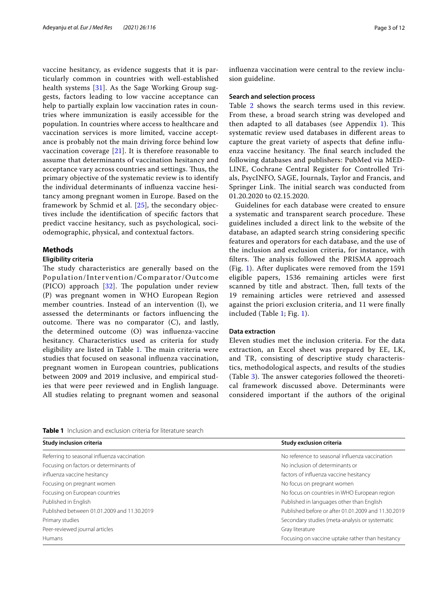vaccine hesitancy, as evidence suggests that it is particularly common in countries with well-established health systems [[31\]](#page-10-27). As the Sage Working Group suggests, factors leading to low vaccine acceptance can help to partially explain low vaccination rates in countries where immunization is easily accessible for the population. In countries where access to healthcare and vaccination services is more limited, vaccine acceptance is probably not the main driving force behind low vaccination coverage [\[21](#page-10-19)]. It is therefore reasonable to assume that determinants of vaccination hesitancy and acceptance vary across countries and settings. Thus, the primary objective of the systematic review is to identify the individual determinants of infuenza vaccine hesitancy among pregnant women in Europe. Based on the framework by Schmid et al. [\[25](#page-10-23)], the secondary objectives include the identifcation of specifc factors that predict vaccine hesitancy, such as psychological, sociodemographic, physical, and contextual factors.

## **Methods**

#### **Eligibility criteria**

The study characteristics are generally based on the Population/Inter vention/Comparator/Outcome (PICO) approach  $[32]$  $[32]$  $[32]$ . The population under review (P) was pregnant women in WHO European Region member countries. Instead of an intervention (I), we assessed the determinants or factors infuencing the outcome. There was no comparator  $(C)$ , and lastly, the determined outcome (O) was infuenza-vaccine hesitancy. Characteristics used as criteria for study eligibility are listed in Table [1](#page-2-0). The main criteria were studies that focused on seasonal infuenza vaccination, pregnant women in European countries, publications between 2009 and 2019 inclusive, and empirical studies that were peer reviewed and in English language. All studies relating to pregnant women and seasonal infuenza vaccination were central to the review inclusion guideline.

#### **Search and selection process**

Table [2](#page-3-0) shows the search terms used in this review. From these, a broad search string was developed and then adapted to all databases (see Appendix  $1$ ). This systematic review used databases in diferent areas to capture the great variety of aspects that defne infuenza vaccine hesitancy. The final search included the following databases and publishers: PubMed via MED-LINE, Cochrane Central Register for Controlled Trials, PsycINFO, SAGE, Journals, Taylor and Francis, and Springer Link. The initial search was conducted from 01.20.2020 to 02.15.2020.

Guidelines for each database were created to ensure a systematic and transparent search procedure. These guidelines included a direct link to the website of the database, an adapted search string considering specifc features and operators for each database, and the use of the inclusion and exclusion criteria, for instance, with filters. The analysis followed the PRISMA approach (Fig. [1](#page-4-0)). After duplicates were removed from the 1591 eligible papers, 1536 remaining articles were frst scanned by title and abstract. Then, full texts of the 19 remaining articles were retrieved and assessed against the priori exclusion criteria, and 11 were fnally included (Table [1;](#page-2-0) Fig. [1\)](#page-4-0).

# **Data extraction**

Eleven studies met the inclusion criteria. For the data extraction, an Excel sheet was prepared by EE, LK, and TR, consisting of descriptive study characteristics, methodological aspects, and results of the studies (Table [3](#page-5-0)). The answer categories followed the theoretical framework discussed above. Determinants were considered important if the authors of the original

<span id="page-2-0"></span>**Table 1** Inclusion and exclusion criteria for literature search

| Study inclusion criteria                    | Study exclusion criteria                            |  |  |
|---------------------------------------------|-----------------------------------------------------|--|--|
| Referring to seasonal influenza vaccination | No reference to seasonal influenza vaccination      |  |  |
| Focusing on factors or determinants of      | No inclusion of determinants or                     |  |  |
| influenza vaccine hesitancy                 | factors of influenza vaccine hesitancy              |  |  |
| Focusing on pregnant women                  | No focus on pregnant women                          |  |  |
| Focusing on European countries              | No focus on countries in WHO European region        |  |  |
| Published in English                        | Published in languages other than English           |  |  |
| Published between 01.01.2009 and 11.30.2019 | Published before or after 01.01.2009 and 11.30.2019 |  |  |
| Primary studies                             | Secondary studies (meta-analysis or systematic      |  |  |
| Peer-reviewed journal articles              | Gray literature                                     |  |  |
| <b>Humans</b>                               | Focusing on vaccine uptake rather than hesitancy    |  |  |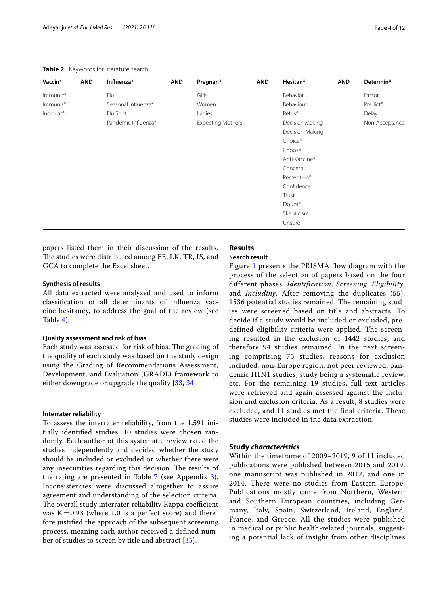<span id="page-3-0"></span>

| Vaccin*   | <b>AND</b> | Influenza*          | <b>AND</b> | Pregnan*                 | <b>AND</b>  | Hesitan*        | <b>AND</b> | Determin*      |
|-----------|------------|---------------------|------------|--------------------------|-------------|-----------------|------------|----------------|
| Immuniz*  |            | Flu                 |            | Girls                    |             | Behavior        |            | Factor         |
| Immunis*  |            | Seasonal Influenza* |            | Women                    |             | Behaviour       |            | Predict*       |
| Inoculat* |            | Flu Shot            |            | Ladies                   |             | Refus*          |            | Delay          |
|           |            | Pandemic Influenza* |            | <b>Expecting Mothers</b> |             | Decision Making |            | Non-Acceptance |
|           |            |                     |            |                          |             | Decision-Making |            |                |
|           |            |                     |            |                          |             | Choice*         |            |                |
|           |            |                     |            |                          |             | Choose          |            |                |
|           |            |                     |            |                          |             | Anti-Vaccine*   |            |                |
|           |            |                     |            |                          | Concern*    |                 |            |                |
|           |            |                     |            |                          | Perception* |                 |            |                |
|           |            |                     |            |                          |             | Confidence      |            |                |
|           |            |                     |            |                          |             | Trust           |            |                |
|           |            |                     |            |                          |             | Doubt*          |            |                |
|           |            |                     |            |                          |             | Skepticism      |            |                |
|           |            |                     |            |                          |             | Unsure          |            |                |

papers listed them in their discussion of the results. The studies were distributed among EE, LK, TR, IS, and GCA to complete the Excel sheet.

# **Synthesis of results**

All data extracted were analyzed and used to inform classifcation of all determinants of infuenza vaccine hesitancy, to address the goal of the review (see Table [4](#page-5-1)).

#### **Quality assessment and risk of bias**

Each study was assessed for risk of bias. The grading of the quality of each study was based on the study design using the Grading of Recommendations Assessment, Development, and Evaluation (GRADE) framework to either downgrade or upgrade the quality [[33,](#page-10-29) [34\]](#page-10-30).

#### **Interrater reliability**

To assess the interrater reliability, from the 1,591 initially identifed studies, 10 studies were chosen randomly. Each author of this systematic review rated the studies independently and decided whether the study should be included or excluded or whether there were any insecurities regarding this decision. The results of the rating are presented in Table  $7$  (see Appendix [3\)](#page-9-2). Inconsistencies were discussed altogether to assure agreement and understanding of the selection criteria. The overall study interrater reliability Kappa coefficient was  $K=0.93$  (where 1.0 is a perfect score) and therefore justifed the approach of the subsequent screening process, meaning each author received a defned num-ber of studies to screen by title and abstract [\[35](#page-11-0)].

# **Results**

#### **Search result**

Figure [1](#page-4-0) presents the PRISMA flow diagram with the process of the selection of papers based on the four different phases: *Identification*, *Screening*, *Eligibility*, and *Including*. After removing the duplicates (55), 1536 potential studies remained. The remaining studies were screened based on title and abstracts. To decide if a study would be included or excluded, predefined eligibility criteria were applied. The screening resulted in the exclusion of 1442 studies, and therefore 94 studies remained. In the next screening comprising 75 studies, reasons for exclusion included: non-Europe region, not peer reviewed, pandemic H1N1 studies, study being a systematic review, etc. For the remaining 19 studies, full-text articles were retrieved and again assessed against the inclusion and exclusion criteria. As a result, 8 studies were excluded, and 11 studies met the final criteria. These studies were included in the data extraction.

## **Study** *characteristics*

Within the timeframe of 2009–2019, 9 of 11 included publications were published between 2015 and 2019, one manuscript was published in 2012, and one in 2014. There were no studies from Eastern Europe. Publications mostly came from Northern, Western and Southern European countries, including Germany, Italy, Spain, Switzerland, Ireland, England, France, and Greece. All the studies were published in medical or public health-related journals, suggesting a potential lack of insight from other disciplines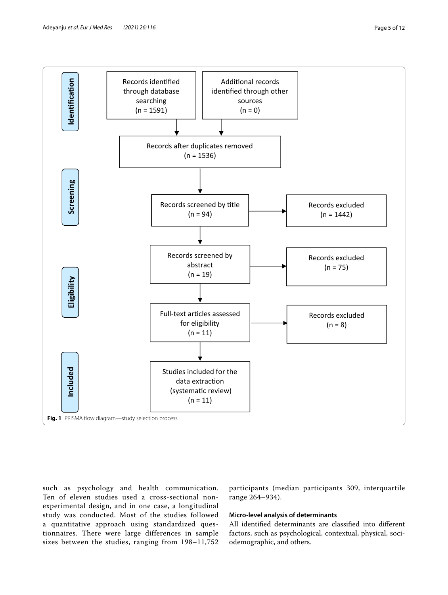

<span id="page-4-0"></span>such as psychology and health communication. Ten of eleven studies used a cross-sectional nonexperimental design, and in one case, a longitudinal study was conducted. Most of the studies followed a quantitative approach using standardized questionnaires. There were large differences in sample sizes between the studies, ranging from 198–11,752

participants (median participants 309, interquartile range 264–934).

# **Micro‑level analysis of determinants**

All identifed determinants are classifed into diferent factors, such as psychological, contextual, physical, sociodemographic, and others.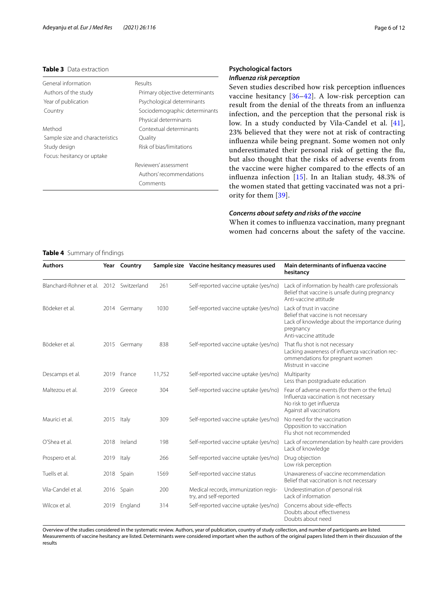#### <span id="page-5-0"></span>**Table 3** Data extraction

| General information             | Results                        |
|---------------------------------|--------------------------------|
| Authors of the study            | Primary objective determinants |
| Year of publication             | Psychological determinants     |
| Country                         | Sociodemographic determinants  |
|                                 | Physical determinants          |
| Method                          | Contextual determinants        |
| Sample size and characteristics | Quality                        |
| Study design                    | Risk of bias/limitations       |
| Focus: hesitancy or uptake      |                                |
|                                 | Reviewers' assessment          |
|                                 | Authors' recommendations       |
|                                 | Comments                       |
|                                 |                                |

# **Psychological factors** *Infuenza risk perception*

Seven studies described how risk perception infuences vaccine hesitancy [[36](#page-11-1)–[42](#page-11-2)]. A low-risk perception can result from the denial of the threats from an infuenza infection, and the perception that the personal risk is low. In a study conducted by Vila-Candel et al. [[41](#page-11-3)], 23% believed that they were not at risk of contracting infuenza while being pregnant. Some women not only underestimated their personal risk of getting the fu, but also thought that the risks of adverse events from the vaccine were higher compared to the efects of an infuenza infection [\[15](#page-10-13)]. In an Italian study, 48.3% of the women stated that getting vaccinated was not a priority for them [[39\]](#page-11-4).

## *Concerns about safety and risks of the vaccine*

When it comes to infuenza vaccination, many pregnant women had concerns about the safety of the vaccine.

#### <span id="page-5-1"></span>**Table 4** Summary of fndings

| <b>Authors</b>                           |            | Year Country |        | Sample size Vaccine hesitancy measures used                    | Main determinants of influenza vaccine<br>hesitancy                                                                                                     |
|------------------------------------------|------------|--------------|--------|----------------------------------------------------------------|---------------------------------------------------------------------------------------------------------------------------------------------------------|
| Blanchard-Rohner et al. 2012 Switzerland |            |              | 261    | Self-reported vaccine uptake (yes/no)                          | Lack of information by health care professionals<br>Belief that vaccine is unsafe during pregnancy<br>Anti-vaccine attitude                             |
| Bödeker et al.                           |            | 2014 Germany | 1030   | Self-reported vaccine uptake (yes/no)                          | Lack of trust in vaccine<br>Belief that vaccine is not necessary<br>Lack of knowledge about the importance during<br>pregnancy<br>Anti-vaccine attitude |
| Bödeker et al.                           | 2015       | Germany      | 838    | Self-reported vaccine uptake (yes/no)                          | That flu shot is not necessary<br>Lacking awareness of influenza vaccination rec-<br>ommendations for pregnant women<br>Mistrust in vaccine             |
| Descamps et al.                          |            | 2019 France  | 11.752 | Self-reported vaccine uptake (yes/no)                          | Multiparity<br>Less than postgraduate education                                                                                                         |
| Maltezou et al.                          |            | 2019 Greece  | 304    | Self-reported vaccine uptake (yes/no)                          | Fear of adverse events (for them or the fetus)<br>Influenza vaccination is not necessary<br>No risk to get influenza<br>Against all vaccinations        |
| Maurici et al.                           | 2015 Italy |              | 309    | Self-reported vaccine uptake (yes/no)                          | No need for the vaccination<br>Opposition to vaccination<br>Flu shot not recommended                                                                    |
| O'Shea et al.                            |            | 2018 Ireland | 198    | Self-reported vaccine uptake (yes/no)                          | Lack of recommendation by health care providers<br>Lack of knowledge                                                                                    |
| Prospero et al.                          | 2019 Italy |              | 266    | Self-reported vaccine uptake (yes/no)                          | Drug objection<br>Low risk perception                                                                                                                   |
| Tuells et al.                            |            | 2018 Spain   | 1569   | Self-reported vaccine status                                   | Unawareness of vaccine recommendation<br>Belief that vaccination is not necessary                                                                       |
| Vila-Candel et al.                       | 2016       | Spain        | 200    | Medical records, immunization regis-<br>try, and self-reported | Underestimation of personal risk<br>Lack of information                                                                                                 |
| Wilcox et al.                            |            | 2019 England | 314    | Self-reported vaccine uptake (yes/no)                          | Concerns about side-effects<br>Doubts about effectiveness<br>Doubts about need                                                                          |

Overview of the studies considered in the systematic review. Authors, year of publication, country of study collection, and number of participants are listed. Measurements of vaccine hesitancy are listed. Determinants were considered important when the authors of the original papers listed them in their discussion of the results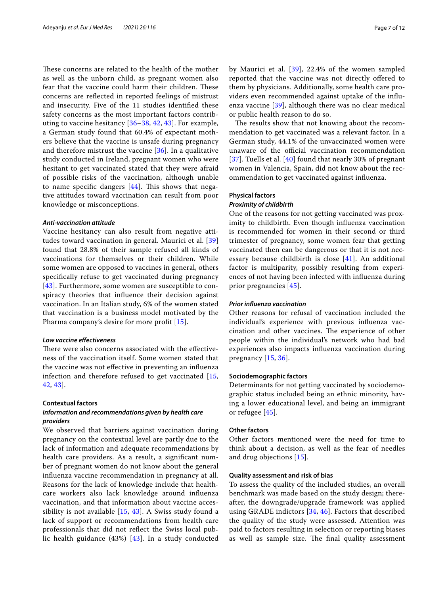These concerns are related to the health of the mother as well as the unborn child, as pregnant women also fear that the vaccine could harm their children. These concerns are refected in reported feelings of mistrust and insecurity. Five of the 11 studies identifed these safety concerns as the most important factors contributing to vaccine hesitancy [[36](#page-11-1)[–38](#page-11-5), [42](#page-11-2), [43](#page-11-6)]. For example, a German study found that 60.4% of expectant mothers believe that the vaccine is unsafe during pregnancy and therefore mistrust the vaccine [[36\]](#page-11-1). In a qualitative study conducted in Ireland, pregnant women who were hesitant to get vaccinated stated that they were afraid of possible risks of the vaccination, although unable to name specific dangers  $[44]$  $[44]$ . This shows that negative attitudes toward vaccination can result from poor knowledge or misconceptions.

#### *Anti‑vaccination attitude*

Vaccine hesitancy can also result from negative attitudes toward vaccination in general. Maurici et al. [\[39](#page-11-4)] found that 28.8% of their sample refused all kinds of vaccinations for themselves or their children. While some women are opposed to vaccines in general, others specifcally refuse to get vaccinated during pregnancy [[43](#page-11-6)]. Furthermore, some women are susceptible to conspiracy theories that infuence their decision against vaccination. In an Italian study, 6% of the women stated that vaccination is a business model motivated by the Pharma company's desire for more proft [[15\]](#page-10-13).

# *Low vaccine efectiveness*

There were also concerns associated with the effectiveness of the vaccination itself. Some women stated that the vaccine was not efective in preventing an infuenza infection and therefore refused to get vaccinated [\[15](#page-10-13), [42,](#page-11-2) [43\]](#page-11-6).

# **Contextual factors**

# *Information and recommendations given by health care providers*

We observed that barriers against vaccination during pregnancy on the contextual level are partly due to the lack of information and adequate recommendations by health care providers. As a result, a signifcant number of pregnant women do not know about the general infuenza vaccine recommendation in pregnancy at all. Reasons for the lack of knowledge include that healthcare workers also lack knowledge around infuenza vaccination, and that information about vaccine accessibility is not available  $[15, 43]$  $[15, 43]$  $[15, 43]$  $[15, 43]$ . A Swiss study found a lack of support or recommendations from health care professionals that did not refect the Swiss local public health guidance (43%) [[43](#page-11-6)]. In a study conducted by Maurici et al. [\[39\]](#page-11-4), 22.4% of the women sampled reported that the vaccine was not directly ofered to them by physicians. Additionally, some health care providers even recommended against uptake of the infuenza vaccine [[39](#page-11-4)], although there was no clear medical or public health reason to do so.

The results show that not knowing about the recommendation to get vaccinated was a relevant factor. In a German study, 44.1% of the unvaccinated women were unaware of the official vaccination recommendation [[37](#page-11-8)]. Tuells et al. [[40\]](#page-11-9) found that nearly 30% of pregnant women in Valencia, Spain, did not know about the recommendation to get vaccinated against infuenza.

# **Physical factors**

# *Proximity of childbirth*

One of the reasons for not getting vaccinated was proximity to childbirth. Even though infuenza vaccination is recommended for women in their second or third trimester of pregnancy, some women fear that getting vaccinated then can be dangerous or that it is not necessary because childbirth is close [[41](#page-11-3)]. An additional factor is multiparity, possibly resulting from experiences of not having been infected with infuenza during prior pregnancies [[45](#page-11-10)].

#### *Prior infuenza vaccination*

Other reasons for refusal of vaccination included the individual's experience with previous infuenza vaccination and other vaccines. The experience of other people within the individual's network who had bad experiences also impacts infuenza vaccination during pregnancy [[15,](#page-10-13) [36\]](#page-11-1).

#### **Sociodemographic factors**

Determinants for not getting vaccinated by sociodemographic status included being an ethnic minority, having a lower educational level, and being an immigrant or refugee [\[45\]](#page-11-10).

#### **Other factors**

Other factors mentioned were the need for time to think about a decision, as well as the fear of needles and drug objections [\[15\]](#page-10-13).

#### **Quality assessment and risk of bias**

To assess the quality of the included studies, an overall benchmark was made based on the study design; thereafter, the downgrade/upgrade framework was applied using GRADE indictors [[34,](#page-10-30) [46](#page-11-11)]. Factors that described the quality of the study were assessed. Attention was paid to factors resulting in selection or reporting biases as well as sample size. The final quality assessment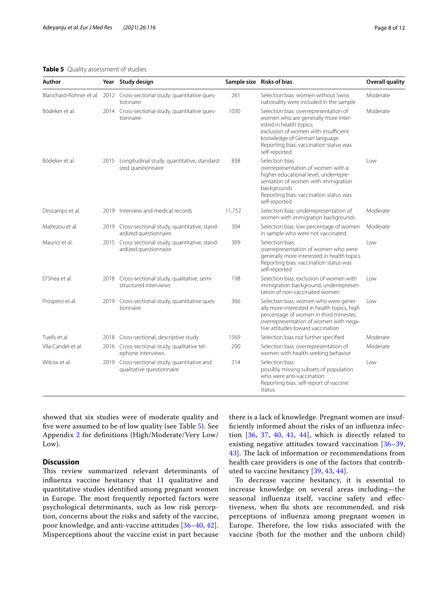# <span id="page-7-0"></span>**Table 5** Quality assessment of studies

| Author             |      | Year Study design                                                                   |        | Sample size Risks of bias                                                                                                                                                                                                                  | <b>Overall quality</b> |
|--------------------|------|-------------------------------------------------------------------------------------|--------|--------------------------------------------------------------------------------------------------------------------------------------------------------------------------------------------------------------------------------------------|------------------------|
|                    |      | Blanchard-Rohner et al. 2012 Cross-sectional study, quantitative ques-<br>tionnaire | 261    | Selection bias: women without Swiss<br>nationality were included in the sample                                                                                                                                                             | Moderate               |
| Bödeker et al.     |      | 2014 Cross-sectional study, quantitative ques-<br>tionnaire                         | 1030   | Selection bias: overrepresentation of<br>women who are generally more inter-<br>ested in health topics,<br>exclusion of women with insufficient<br>knowledge of German language<br>Reporting bias: vaccination status was<br>self-reported | Moderate               |
| Bödeker et al.     | 2015 | Longitudinal study, quantitative, standard-<br>ized questionnaire                   | 838    | Selection bias:<br>overrepresentation of women with a<br>higher educational level, underrepre-<br>sentation of women with immigration<br>backgrounds<br>Reporting bias: vaccination status was<br>self-reported                            | Low                    |
| Descamps et al.    |      | 2019 Interview and medical records                                                  | 11,752 | Selection bias: underrepresentation of<br>women with immigration backgrounds                                                                                                                                                               | Moderate               |
| Maltezou et al.    |      | 2019 Cross-sectional study, quantitative, stand-<br>ardized questionnaire           | 304    | Selection bias: low percentage of women<br>in sample who were not vaccinated                                                                                                                                                               | Moderate               |
| Maurici et al.     |      | 2015 Cross-sectional study, quantitative, stand-<br>ardized questionnaire           | 309    | Selection bias:<br>overrepresentation of women who were<br>generally more interested in health topics<br>Reporting bias: vaccination status was<br>self-reported                                                                           | Low                    |
| O'Shea et al.      |      | 2018 Cross-sectional study, qualitative, semi-<br>structured interviews             | 198    | Selection bias: exclusion of women with<br>immigration background, underrepresen-<br>tation of non-vaccinated women                                                                                                                        | Low                    |
| Prospero et al.    |      | 2019 Cross-sectional study, quantitative ques-<br>tionnaire                         | 366    | Selection bias: women who were gener-<br>ally more interested in health topics, high<br>percentage of women in third trimester,<br>overrepresentation of women with nega-<br>tive attitudes toward vaccination                             | Low                    |
| Tuells et al.      |      | 2018 Cross-sectional, descriptive study                                             | 1569   | Selection bias not further specified                                                                                                                                                                                                       | Moderate               |
| Vila-Candel et al. |      | 2016 Cross-sectional study, qualitative tel-<br>ephone interviews                   | 200    | Selection bias: overrepresentation of<br>women with health-seeking behavior                                                                                                                                                                | Moderate               |
| Wilcox et al.      |      | 2019 Cross-sectional study, quantitative and<br>qualitative questionnaire           | 314    | Selection bias:<br>possibly missing subsets of population<br>who were anti-vaccination<br>Reporting bias: self-report of vaccine<br>status                                                                                                 | Low                    |

showed that six studies were of moderate quality and fve were assumed to be of low quality (see Table [5\)](#page-7-0). See Appendix [2](#page-9-3) for defnitions (High/Moderate/Very Low/ Low).

# **Discussion**

This review summarized relevant determinants of infuenza vaccine hesitancy that 11 qualitative and quantitative studies identifed among pregnant women in Europe. The most frequently reported factors were psychological determinants, such as low risk perception, concerns about the risks and safety of the vaccine, poor knowledge, and anti-vaccine attitudes [[36–](#page-11-1)[40](#page-11-9), [42\]](#page-11-2). Misperceptions about the vaccine exist in part because

there is a lack of knowledge. Pregnant women are insuffciently informed about the risks of an infuenza infection [[36,](#page-11-1) [37,](#page-11-8) [40,](#page-11-9) [41](#page-11-3), [44](#page-11-7)], which is directly related to existing negative attitudes toward vaccination [[36](#page-11-1)[–39](#page-11-4), [43\]](#page-11-6). The lack of information or recommendations from health care providers is one of the factors that contributed to vaccine hesitancy [[39](#page-11-4), [43](#page-11-6), [44](#page-11-7)].

To decrease vaccine hesitancy, it is essential to increase knowledge on several areas including—the seasonal infuenza itself, vaccine safety and efectiveness, when fu shots are recommended, and risk perceptions of infuenza among pregnant women in Europe. Therefore, the low risks associated with the vaccine (both for the mother and the unborn child)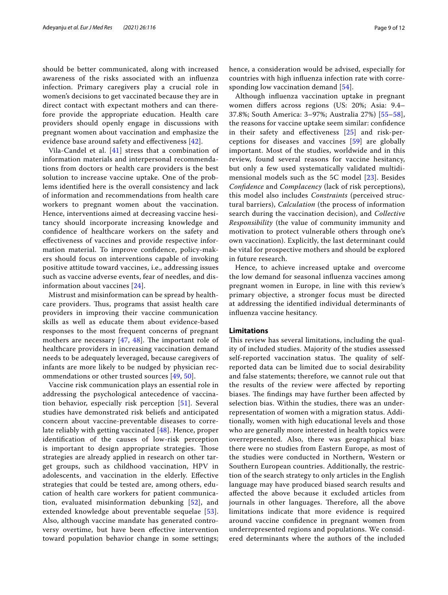should be better communicated, along with increased awareness of the risks associated with an infuenza infection. Primary caregivers play a crucial role in women's decisions to get vaccinated because they are in direct contact with expectant mothers and can therefore provide the appropriate education. Health care providers should openly engage in discussions with pregnant women about vaccination and emphasize the evidence base around safety and efectiveness [[42](#page-11-2)].

Vila-Candel et al.  $[41]$  $[41]$  stress that a combination of information materials and interpersonal recommendations from doctors or health care providers is the best solution to increase vaccine uptake. One of the problems identifed here is the overall consistency and lack of information and recommendations from health care workers to pregnant women about the vaccination. Hence, interventions aimed at decreasing vaccine hesitancy should incorporate increasing knowledge and confdence of healthcare workers on the safety and efectiveness of vaccines and provide respective information material. To improve confdence, policy-makers should focus on interventions capable of invoking positive attitude toward vaccines, i.e., addressing issues such as vaccine adverse events, fear of needles, and disinformation about vaccines [[24\]](#page-10-22).

Mistrust and misinformation can be spread by healthcare providers. Thus, programs that assist health care providers in improving their vaccine communication skills as well as educate them about evidence-based responses to the most frequent concerns of pregnant mothers are necessary  $[47, 48]$  $[47, 48]$  $[47, 48]$ . The important role of healthcare providers in increasing vaccination demand needs to be adequately leveraged, because caregivers of infants are more likely to be nudged by physician recommendations or other trusted sources [[49,](#page-11-14) [50\]](#page-11-15).

Vaccine risk communication plays an essential role in addressing the psychological antecedence of vaccination behavior, especially risk perception [[51\]](#page-11-16). Several studies have demonstrated risk beliefs and anticipated concern about vaccine-preventable diseases to correlate reliably with getting vaccinated [[48](#page-11-13)]. Hence, proper identifcation of the causes of low-risk perception is important to design appropriate strategies. Those strategies are already applied in research on other target groups, such as childhood vaccination, HPV in adolescents, and vaccination in the elderly. Efective strategies that could be tested are, among others, education of health care workers for patient communication, evaluated misinformation debunking [\[52\]](#page-11-17), and extended knowledge about preventable sequelae [[53\]](#page-11-18). Also, although vaccine mandate has generated controversy overtime, but have been efective intervention toward population behavior change in some settings; hence, a consideration would be advised, especially for countries with high infuenza infection rate with corresponding low vaccination demand [[54\]](#page-11-19).

Although infuenza vaccination uptake in pregnant women difers across regions (US: 20%; Asia: 9.4– 37.8%; South America: 3–97%; Australia 27%) [[55–](#page-11-20)[58](#page-11-21)], the reasons for vaccine uptake seem similar: confdence in their safety and efectiveness [\[25\]](#page-10-23) and risk-perceptions for diseases and vaccines [\[59\]](#page-11-22) are globally important. Most of the studies, worldwide and in this review, found several reasons for vaccine hesitancy, but only a few used systematically validated multidimensional models such as the 5C model [[23\]](#page-10-21). Besides *Confdence* and *Complacency* (lack of risk perceptions), this model also includes *Constraints* (perceived structural barriers), *Calculation* (the process of information search during the vaccination decision), and *Collective Responsibility* (the value of community immunity and motivation to protect vulnerable others through one's own vaccination). Explicitly, the last determinant could be vital for prospective mothers and should be explored in future research.

Hence, to achieve increased uptake and overcome the low demand for seasonal infuenza vaccines among pregnant women in Europe, in line with this review's primary objective, a stronger focus must be directed at addressing the identifed individual determinants of infuenza vaccine hesitancy.

#### **Limitations**

This review has several limitations, including the quality of included studies. Majority of the studies assessed self-reported vaccination status. The quality of selfreported data can be limited due to social desirability and false statements; therefore, we cannot rule out that the results of the review were afected by reporting biases. The findings may have further been affected by selection bias. Within the studies, there was an underrepresentation of women with a migration status. Additionally, women with high educational levels and those who are generally more interested in health topics were overrepresented. Also, there was geographical bias: there were no studies from Eastern Europe, as most of the studies were conducted in Northern, Western or Southern European countries. Additionally, the restriction of the search strategy to only articles in the English language may have produced biased search results and afected the above because it excluded articles from journals in other languages. Therefore, all the above limitations indicate that more evidence is required around vaccine confdence in pregnant women from underrepresented regions and populations. We considered determinants where the authors of the included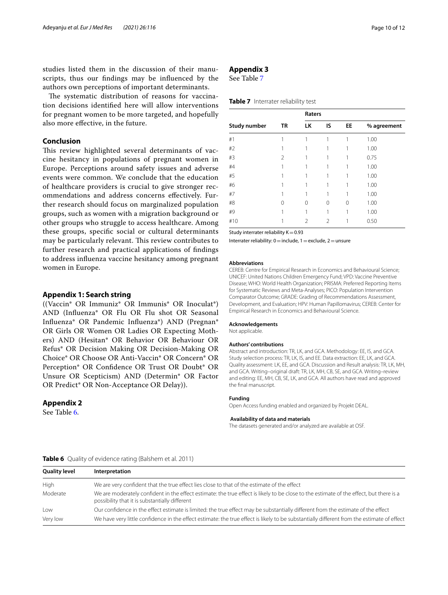studies listed them in the discussion of their manuscripts, thus our fndings may be infuenced by the authors own perceptions of important determinants.

The systematic distribution of reasons for vaccination decisions identifed here will allow interventions for pregnant women to be more targeted, and hopefully also more efective, in the future.

# **Conclusion**

This review highlighted several determinants of vaccine hesitancy in populations of pregnant women in Europe. Perceptions around safety issues and adverse events were common. We conclude that the education of healthcare providers is crucial to give stronger recommendations and address concerns efectively. Further research should focus on marginalized population groups, such as women with a migration background or other groups who struggle to access healthcare. Among these groups, specifc social or cultural determinants may be particularly relevant. This review contributes to further research and practical applications of fndings to address infuenza vaccine hesitancy among pregnant women in Europe.

## <span id="page-9-0"></span>**Appendix 1: Search string**

((Vaccin\* OR Immuniz\* OR Immunis\* OR Inoculat\*) AND (Infuenza\* OR Flu OR Flu shot OR Seasonal Infuenza\* OR Pandemic Infuenza\*) AND (Pregnan\* OR Girls OR Women OR Ladies OR Expecting Mothers) AND (Hesitan\* OR Behavior OR Behaviour OR Refus\* OR Decision Making OR Decision-Making OR Choice\* OR Choose OR Anti-Vaccin\* OR Concern\* OR Perception\* OR Confdence OR Trust OR Doubt\* OR Unsure OR Scepticism) AND (Determin\* OR Factor OR Predict\* OR Non-Acceptance OR Delay)).

# <span id="page-9-3"></span>**Appendix 2**

See Table [6.](#page-9-4)

# <span id="page-9-2"></span>**Appendix 3**

See Table [7](#page-9-1)

# <span id="page-9-1"></span>**Table 7** Interrater reliability test

|                     |    | Raters        |    |           |             |
|---------------------|----|---------------|----|-----------|-------------|
| <b>Study number</b> | TR | LK            | IS | <b>EE</b> | % agreement |
| #1                  |    |               |    |           | 1.00        |
| #2                  |    |               |    |           | 1.00        |
| #3                  | 2  |               |    |           | 0.75        |
| #4                  |    |               |    |           | 1.00        |
| #5                  |    |               |    |           | 1.00        |
| #6                  |    |               | 1  |           | 1.00        |
| #7                  |    |               | 1  |           | 1.00        |
| #8                  | 0  | 0             | 0  | $\Omega$  | 1.00        |
| #9                  |    |               |    |           | 1.00        |
| #10                 |    | $\mathcal{P}$ | 2  |           | 0.50        |

Study interrater reliability  $K=0.93$ 

Interrater reliability:  $0=$  include,  $1=$  exclude,  $2=$  unsure

#### **Abbreviations**

CEREB: Centre for Empirical Research in Economics and Behavioural Science; UNICEF: United Nations Children Emergency Fund; VPD: Vaccine Preventive Disease; WHO: World Health Organization; PRISMA: Preferred Reporting Items for Systematic Reviews and Meta-Analyses; PICO: Population Intervention Comparator Outcome; GRADE: Grading of Recommendations Assessment, Development, and Evaluation; HPV: Human Papillomavirus; CEREB: Center for Empirical Research in Economics and Behavioural Science.

#### **Acknowledgements**

Not applicable.

#### **Authors' contributions**

Abstract and introduction: TR, LK, and GCA. Methodology: EE, IS, and GCA. Study selection process: TR, LK, IS, and EE. Data extraction: EE, LK, and GCA. Quality assessment: LK, EE, and GCA. Discussion and Result analysis: TR, LK, MH, and GCA. Writing–original draft: TR, LK, MH, CB, SE, and GCA. Writing–review and editing: EE, MH, CB, SE, LK, and GCA. All authors have read and approved the fnal manuscript.

#### **Funding**

Open Access funding enabled and organized by Projekt DEAL.

#### **Availability of data and materials**

The datasets generated and/or analyzed are available at OSF.

| <b>Quality level</b> | Interpretation                                                                                                                                                                            |
|----------------------|-------------------------------------------------------------------------------------------------------------------------------------------------------------------------------------------|
| High                 | We are very confident that the true effect lies close to that of the estimate of the effect                                                                                               |
| Moderate             | We are moderately confident in the effect estimate: the true effect is likely to be close to the estimate of the effect, but there is a<br>possibility that it is substantially different |
| l ow                 | Our confidence in the effect estimate is limited: the true effect may be substantially different from the estimate of the effect                                                          |
| Very low             | We have very little confidence in the effect estimate: the true effect is likely to be substantially different from the estimate of effect                                                |
|                      |                                                                                                                                                                                           |

#### <span id="page-9-4"></span>**Table 6** Quality of evidence rating (Balshem et al. 2011)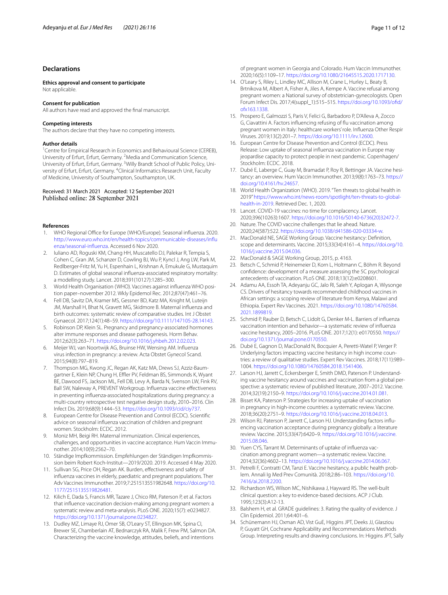### **Declarations**

**Ethics approval and consent to participate** Not applicable.

#### **Consent for publication**

All authors have read and approved the fnal manuscript.

#### **Competing interests**

The authors declare that they have no competing interests.

#### **Author details**

<sup>1</sup> Centre for Empirical Research in Economics and Behavioural Science (CEREB), University of Erfurt, Erfurt, Germany. <sup>2</sup>Media and Communication Science, University of Erfurt, Erfurt, Germany. <sup>3</sup> Willy Brandt School of Public Policy, University of Erfurt, Erfurt, Germany. <sup>4</sup>Clinical Informatics Research Unit, Faculty of Medicine, University of Southampton, Southampton, UK.

#### Received: 31 March 2021 Accepted: 12 September 2021 Published online: 28 September 2021

#### **References**

- <span id="page-10-0"></span>1. WHO Regional Office for Europe (WHO/Europe). Seasonal influenza. 2020. [http://www.euro.who.int/en/health-topics/communicable-diseases/infu](http://www.euro.who.int/en/health-topics/communicable-diseases/influenza/seasonal-influenza) [enza/seasonal-infuenza.](http://www.euro.who.int/en/health-topics/communicable-diseases/influenza/seasonal-influenza) Accessed 6 Nov 2020.
- <span id="page-10-1"></span>2. Iuliano AD, Roguski KM, Chang HH, Muscatello DJ, Palekar R, Tempia S, Cohen C, Gran JM, Schanzer D, Cowling BJ, Wu P, Kyncl J, Ang LW, Park M, Redlberger-Fritz M, Yu H, Espenhain L, Krishnan A, Emukule G, Mustaquim D. Estimates of global seasonal infuenza-associated respiratory mortality: a modelling study. Lancet. 2018;391(10127):1285–300.
- <span id="page-10-2"></span>3. World Health Organisation (WHO). Vaccines against infuenza WHO position paper–november 2012. Wkly Epidemol Rec. 2012;87(47):461–76.
- <span id="page-10-3"></span>4. Fell DB, Savitz DA, Kramer MS, Gessner BD, Katz MA, Knight M, Luteijn JM, Marshall H, Bhat N, Gravett MG, Skidmore B. Maternal infuenza and birth outcomes: systematic review of comparative studies. Int J Obstet Gynaecol. 2017;124(1):48–59. [https://doi.org/10.1111/147105-28.14143.](https://doi.org/10.1111/147105-28.14143)
- <span id="page-10-4"></span>5. Robinson DP, Klein SL. Pregnancy and pregnancy-associated hormones alter immune responses and disease pathogenesis. Horm Behav. 2012;62(3):263–71. [https://doi.org/10.1016/j.yhbeh.2012.02.023.](https://doi.org/10.1016/j.yhbeh.2012.02.023)
- <span id="page-10-5"></span>6. Meijer WJ, van Noortwijk AG, Bruinse HW, Wensing AM. Infuenza virus infection in pregnancy: a review. Acta Obstet Gynecol Scand. 2015;94(8):797–819.
- <span id="page-10-6"></span>7. Thompson MG, Kwong JC, Regan AK, Katz MA, Drews SJ, Azziz-Baumgartner E, Klein NP, Chung H, Effler PV, Feldman BS, Simmonds K, Wyant BE, Dawood FS, Jackson ML, Fell DB, Levy A, Barda N, Svenson LW, Fink RV, Ball SW, Naleway A, PREVENT Workgroup. Infuenza vaccine efectiveness in preventing infuenza-associated hospitalizations during pregnancy: a multi-country retrospective test negative design study, 2010–2016. Clin Infect Dis. 2019;68(9):1444–53. [https://doi.org/10.1093/cid/ciy737.](https://doi.org/10.1093/cid/ciy737)
- <span id="page-10-7"></span>8. European Centre for Disease Prevention and Control (ECDC). Scientifc advice on seasonal infuenza vaccination of children and pregnant women. Stockholm: ECDC. 2012.
- <span id="page-10-8"></span>9. Moniz MH, Beigi RH. Maternal immunization. Clinical experiences, challenges, and opportunities in vaccine acceptance. Hum Vaccin Immunother. 2014;10(9):2562–70.
- <span id="page-10-9"></span>10. Ständige Impfkommission. Empfehlungen der Ständigen Impfkommission beim Robert Koch-Institut—2019/2020. 2019. Accessed 4 May 2020.
- <span id="page-10-10"></span>11. Sullivan SG, Price OH, Regan AK. Burden, efectiveness and safety of infuenza vaccines in elderly, paediatric and pregnant populations. Ther Adv Vaccines Immunother. 2019;7:251513551982648. [https://doi.org/10.](https://doi.org/10.1177/2515135519826481) [1177/2515135519826481.](https://doi.org/10.1177/2515135519826481)
- <span id="page-10-11"></span>12. Kilich E, Dada S, Francis MR, Tazare J, Chico RM, Paterson P, et al. Factors that infuence vaccination decision-making among pregnant women: a systematic review and meta-analysis. PLoS ONE. 2020;15(7): e0234827. <https://doi.org/10.1371/journal.pone.0234827>.
- 13. Dudley MZ, Limaye RJ, Omer SB, O'Leary ST, Ellingson MK, Spina CI, Brewer SE, Chamberlain AT, Bednarczyk RA, Malik F, Frew PM, Salmon DA. Characterizing the vaccine knowledge, attitudes, beliefs, and intentions

of pregnant women in Georgia and Colorado. Hum Vaccin Immunother. 2020;16(5):1109–17. [https://doi.org/10.1080/21645515.2020.1717130.](https://doi.org/10.1080/21645515.2020.1717130)

- <span id="page-10-12"></span>14. O'Leary S, Riley L, Lindley MC, Allison M, Crane L, Hurley L, Beaty B, Brtnikova M, Albert A, Fisher A, Jiles A, Kempe A. Vaccine refusal among pregnant women: a National survey of obstetrician-gynecologists. Open Forum Infect Dis. 2017;4(suppl\_1):515–515. [https://doi.org/10.1093/ofd/](https://doi.org/10.1093/ofid/ofx163.1338) [ofx163.1338.](https://doi.org/10.1093/ofid/ofx163.1338)
- <span id="page-10-13"></span>15. Prospero E, Galmozzi S, Paris V, Felici G, Barbadoro P, D'Alleva A, Zocco G, Ciavattini A. Factors infuencing refusing of fu vaccination among pregnant women in Italy: healthcare workers' role. Infuenza Other Respir Viruses. 2019;13(2):201–7. <https://doi.org/10.1111/irv.12600>.
- <span id="page-10-14"></span>16. European Centre for Disease Prevention and Control (ECDC). Press Release: Low uptake of seasonal infuenza vaccination in Europe may jeopardise capacity to protect people in next pandemic. Copenhagen/ Stockholm: ECDC. 2018.
- <span id="page-10-15"></span>17. Dubé E, Laberge C, Guay M, Bramadat P, Roy R, Bettinger JA. Vaccine hesitancy: an overview. Hum Vaccin Immunother. 2013;9(8):1763–73. [https://](https://doi.org/10.4161/hv.24657) [doi.org/10.4161/hv.24657](https://doi.org/10.4161/hv.24657).
- <span id="page-10-16"></span>18. World Health Organization (WHO). 2019. "Ten threats to global health in 2019" [https://www.who.int/news-room/spotlight/ten-threats-to-global](https://www.who.int/news-room/spotlight/ten-threats-to-global-health-in-2019)[health-in-2019](https://www.who.int/news-room/spotlight/ten-threats-to-global-health-in-2019). Retrieved Dec. 1, 2020.
- <span id="page-10-17"></span>19. Lancet. COVID-19 vaccines: no time for complacency. Lancet. 2020;396(10263):1607. [https://doi.org/10.1016/S0140-6736\(20\)32472-7](https://doi.org/10.1016/S0140-6736(20)32472-7).
- <span id="page-10-18"></span>20. Nature. The COVID vaccine challenges that lie ahead. Nature. 2020;24(587):522.<https://doi.org/10.1038/d41586-020-03334-w>.
- <span id="page-10-19"></span>21. MacDonald NE, SAGE Working Group. Vaccine hesitancy: Defnition, scope and determinants. Vaccine. 2015;33(34):4161–4. [https://doi.org/10.](https://doi.org/10.1016/j.vaccine.2015.04.036) [1016/j.vaccine.2015.04.036](https://doi.org/10.1016/j.vaccine.2015.04.036).
- <span id="page-10-20"></span>22. MacDonald & SAGE Working Group, 2015, p. 4163.
- <span id="page-10-21"></span>23. Betsch C, Schmid P, Heinemeier D, Korn L, Holtmann C, Böhm R. Beyond confdence: development of a measure assessing the 5C psychological antecedents of vaccination. PLoS ONE. 2018;13(12):e0208601.
- <span id="page-10-22"></span>24. Adamu AA, Essoh TA, Adeyanju GC, Jalo RI, Saleh Y, Aplogan A, Wiysonge CS. Drivers of hesitancy towards recommended childhood vaccines in African settings: a scoping review of literature from Kenya, Malawi and Ethiopia. Expert Rev Vaccines. 2021. [https://doi.org/10.1080/14760584.](https://doi.org/10.1080/14760584.2021.1899819) [2021.1899819](https://doi.org/10.1080/14760584.2021.1899819).
- <span id="page-10-23"></span>25. Schmid P, Rauber D, Betsch C, Lidolt G, Denker M-L. Barriers of infuenza vaccination intention and behavior—a systematic review of infuenza vaccine hesitancy, 2005–2016. PLoS ONE. 2017;12(1): e0170550. [https://](https://doi.org/10.1371/journal.pone.0170550) [doi.org/10.1371/journal.pone.0170550](https://doi.org/10.1371/journal.pone.0170550).
- 26. Dubé E, Gagnon D, MacDonald N, Bocquier A, Peretti-Watel P, Verger P. Underlying factors impacting vaccine hesitancy in high income countries: a review of qualitative studies. Expert Rev Vaccines. 2018;17(11):989– 1004.<https://doi.org/10.1080/14760584.2018.1541406>.
- <span id="page-10-24"></span>27. Larson HJ, Jarrett C, Eckersberger E, Smith DMD, Paterson P. Understanding vaccine hesitancy around vaccines and vaccination from a global perspective: a systematic review of published literature, 2007–2012. Vaccine. 2014;32(19):2150–9. [https://doi.org/10.1016/j.vaccine.2014.01.081.](https://doi.org/10.1016/j.vaccine.2014.01.081)
- <span id="page-10-25"></span>28. Bisset KA, Paterson P. Strategies for increasing uptake of vaccination in pregnancy in high-income countries: a systematic review. Vaccine. 2018;36(20):2751–9. [https://doi.org/10.1016/j.vaccine.2018.04.013.](https://doi.org/10.1016/j.vaccine.2018.04.013)
- 29. Wilson RJ, Paterson P, Jarrett C, Larson HJ. Understanding factors infuencing vaccination acceptance during pregnancy globally: a literature review. Vaccine. 2015;33(47):6420–9. [https://doi.org/10.1016/j.vaccine.](https://doi.org/10.1016/j.vaccine.2015.08.046) [2015.08.046](https://doi.org/10.1016/j.vaccine.2015.08.046).
- <span id="page-10-26"></span>30. Yuen CYS, Tarrant M. Determinants of uptake of infuenza vaccination among pregnant women—a systematic review. Vaccine. 2014;32(36):4602–13.<https://doi.org/10.1016/j.vaccine.2014.06.067>.
- <span id="page-10-27"></span>31. Petrelli F, Contratti CM, Tanzi E. Vaccine hesitancy, a public health problem. Annali Ig Med Prev Comunità. 2018;2:86–103. [https://doi.org/10.](https://doi.org/10.7416/ai.2018.2200) [7416/ai.2018.2200.](https://doi.org/10.7416/ai.2018.2200)
- <span id="page-10-28"></span>32. Richardson WS, Wilson MC, Nishikawa J, Hayward RS. The well-built clinical question: a key to evidence-based decisions. ACP J Club. 1995;123(3):A12-13.
- <span id="page-10-29"></span>33. Balshem H, et al. GRADE guidelines: 3. Rating the quality of evidence. J Clin Epidemiol. 2011;64:401–6.
- <span id="page-10-30"></span>34. Schünemann HJ, Oxman AD, Vist GuE, Higgins JPT, Deeks JJ, Glasziou P, Guyatt GH, Cochrane Applicability and Recommendations Methods Group. Interpreting results and drawing conclusions. In: Higgins JPT, Sally